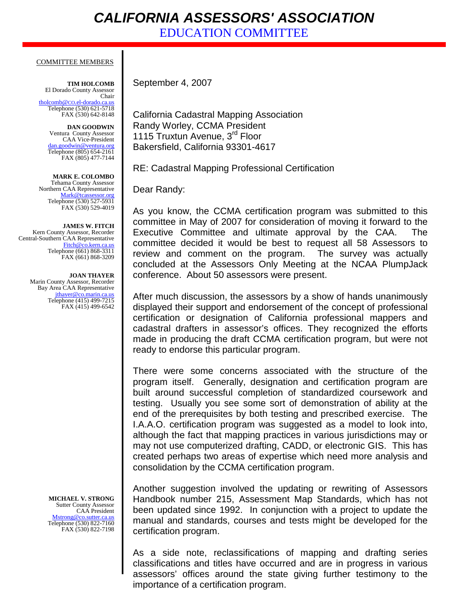## *CALIFORNIA ASSESSORS' ASSOCIATION*

EDUCATION COMMITTEE

## COMMITTEE MEMBERS

**TIM HOLCOMB** El Dorado County Assessor Chair [tholcomb@CO.el-dorado.ca.us](mailto:tholcomb@co.el-dorado.ca.us) Telephone (530) 621-5718 FAX (530) 642-8148

**DAN GOODWIN** Ventura County Assessor CAA Vice-President [dan.goodwin@ventura.org](mailto:Assessor@SacCounty.net) Telephone (805) 654-2161 FAX (805) 477-7144

**MARK E. COLOMBO** Tehama County Assessor Northern CAA Representative [Mark@tcassessor.org](mailto:Mark@tcassessor.org) Telephone (530) 527-5931 FAX (530) 529-4019

**JAMES W. FITCH** Kern County Assessor, Recorder Central-Southern CAA Representative<br>Fitch@co.kern.ca.us Fitch@c Telephone (661) 868-3311 FAX (661) 868-3209

> **JOAN THAYER** Marin County Assessor, Recorder Bay Area CAA Representative jthayer@co.marin.ca.us Telephone (415) 499-7215 FAX (415) 499-6542

> > **MICHAEL V. STRONG** Sutter County Assessor CAA President [Mstrong@co.sutter.ca.us](mailto:fmagar@co.la.ca.us) Telephone (530) 822-7160 FAX (530) 822-7198

September 4, 2007

California Cadastral Mapping Association Randy Worley, CCMA President 1115 Truxtun Avenue, 3<sup>rd</sup> Floor Bakersfield, California 93301-4617

RE: Cadastral Mapping Professional Certification

Dear Randy:

As you know, the CCMA certification program was submitted to this committee in May of 2007 for consideration of moving it forward to the Executive Committee and ultimate approval by the CAA. The committee decided it would be best to request all 58 Assessors to review and comment on the program. The survey was actually concluded at the Assessors Only Meeting at the NCAA PlumpJack conference. About 50 assessors were present.

After much discussion, the assessors by a show of hands unanimously displayed their support and endorsement of the concept of professional certification or designation of California professional mappers and cadastral drafters in assessor's offices. They recognized the efforts made in producing the draft CCMA certification program, but were not ready to endorse this particular program.

There were some concerns associated with the structure of the program itself. Generally, designation and certification program are built around successful completion of standardized coursework and testing. Usually you see some sort of demonstration of ability at the end of the prerequisites by both testing and prescribed exercise. The I.A.A.O. certification program was suggested as a model to look into, although the fact that mapping practices in various jurisdictions may or may not use computerized drafting, CADD, or electronic GIS. This has created perhaps two areas of expertise which need more analysis and consolidation by the CCMA certification program.

Another suggestion involved the updating or rewriting of Assessors Handbook number 215, Assessment Map Standards, which has not been updated since 1992. In conjunction with a project to update the manual and standards, courses and tests might be developed for the certification program.

As a side note, reclassifications of mapping and drafting series classifications and titles have occurred and are in progress in various assessors' offices around the state giving further testimony to the importance of a certification program.